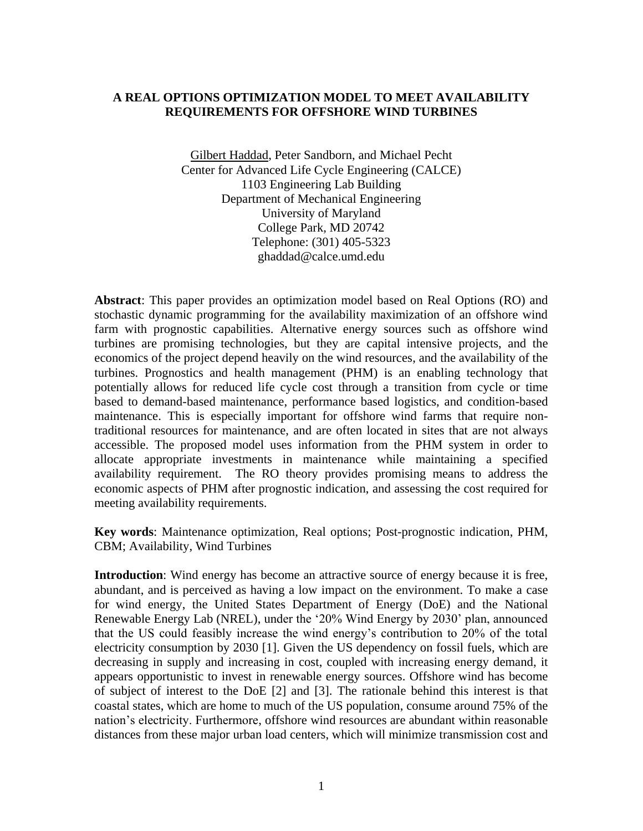## **A REAL OPTIONS OPTIMIZATION MODEL TO MEET AVAILABILITY REQUIREMENTS FOR OFFSHORE WIND TURBINES**

Gilbert Haddad, Peter Sandborn, and Michael Pecht Center for Advanced Life Cycle Engineering (CALCE) 1103 Engineering Lab Building Department of Mechanical Engineering University of Maryland College Park, MD 20742 Telephone: (301) 405-5323 ghaddad@calce.umd.edu

**Abstract**: This paper provides an optimization model based on Real Options (RO) and stochastic dynamic programming for the availability maximization of an offshore wind farm with prognostic capabilities. Alternative energy sources such as offshore wind turbines are promising technologies, but they are capital intensive projects, and the economics of the project depend heavily on the wind resources, and the availability of the turbines. Prognostics and health management (PHM) is an enabling technology that potentially allows for reduced life cycle cost through a transition from cycle or time based to demand-based maintenance, performance based logistics, and condition-based maintenance. This is especially important for offshore wind farms that require nontraditional resources for maintenance, and are often located in sites that are not always accessible. The proposed model uses information from the PHM system in order to allocate appropriate investments in maintenance while maintaining a specified availability requirement. The RO theory provides promising means to address the economic aspects of PHM after prognostic indication, and assessing the cost required for meeting availability requirements.

**Key words**: Maintenance optimization, Real options; Post-prognostic indication, PHM, CBM; Availability, Wind Turbines

**Introduction**: Wind energy has become an attractive source of energy because it is free, abundant, and is perceived as having a low impact on the environment. To make a case for wind energy, the United States Department of Energy (DoE) and the National Renewable Energy Lab (NREL), under the "20% Wind Energy by 2030" plan, announced that the US could feasibly increase the wind energy"s contribution to 20% of the total electricity consumption by 2030 [\[1\].](#page-8-0) Given the US dependency on fossil fuels, which are decreasing in supply and increasing in cost, coupled with increasing energy demand, it appears opportunistic to invest in renewable energy sources. Offshore wind has become of subject of interest to the DoE [\[2\]](#page-8-1) and [\[3\].](#page-8-2) The rationale behind this interest is that coastal states, which are home to much of the US population, consume around 75% of the nation"s electricity. Furthermore, offshore wind resources are abundant within reasonable distances from these major urban load centers, which will minimize transmission cost and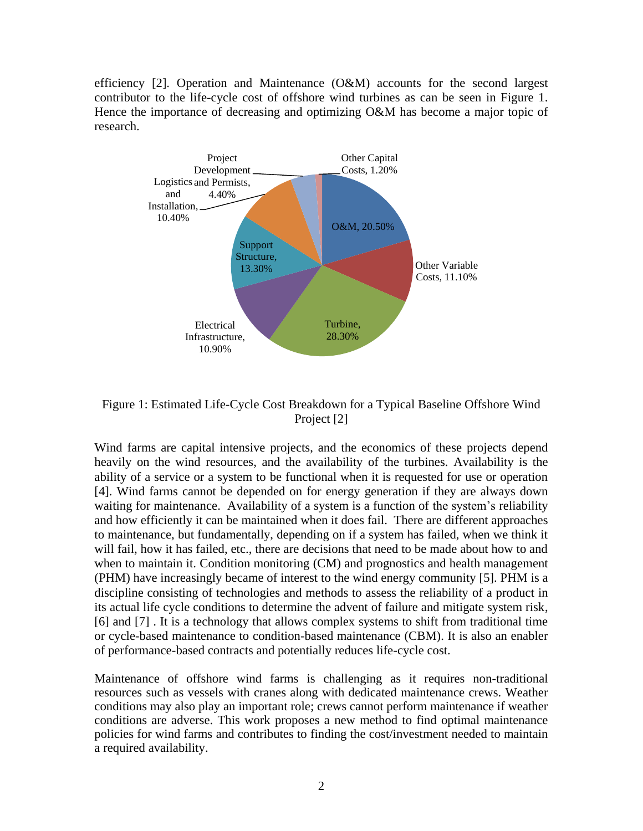efficiency [\[2\].](#page-8-1) Operation and Maintenance (O&M) accounts for the second largest contributor to the life-cycle cost of offshore wind turbines as can be seen in Figure 1. Hence the importance of decreasing and optimizing O&M has become a major topic of research.



Figure 1: Estimated Life-Cycle Cost Breakdown for a Typical Baseline Offshore Wind Project [\[2\]](#page-8-1)

Wind farms are capital intensive projects, and the economics of these projects depend heavily on the wind resources, and the availability of the turbines. Availability is the ability of a service or a system to be functional when it is requested for use or operation [\[4\].](#page-8-3) Wind farms cannot be depended on for energy generation if they are always down waiting for maintenance. Availability of a system is a function of the system"s reliability and how efficiently it can be maintained when it does fail. There are different approaches to maintenance, but fundamentally, depending on if a system has failed, when we think it will fail, how it has failed, etc., there are decisions that need to be made about how to and when to maintain it. Condition monitoring (CM) and prognostics and health management (PHM) have increasingly became of interest to the wind energy community [\[5\].](#page-8-4) PHM is a discipline consisting of technologies and methods to assess the reliability of a product in its actual life cycle conditions to determine the advent of failure and mitigate system risk, [\[6\]](#page-8-5) and [\[7\]](#page-8-6) . It is a technology that allows complex systems to shift from traditional time or cycle-based maintenance to condition-based maintenance (CBM). It is also an enabler of performance-based contracts and potentially reduces life-cycle cost.

Maintenance of offshore wind farms is challenging as it requires non-traditional resources such as vessels with cranes along with dedicated maintenance crews. Weather conditions may also play an important role; crews cannot perform maintenance if weather conditions are adverse. This work proposes a new method to find optimal maintenance policies for wind farms and contributes to finding the cost/investment needed to maintain a required availability.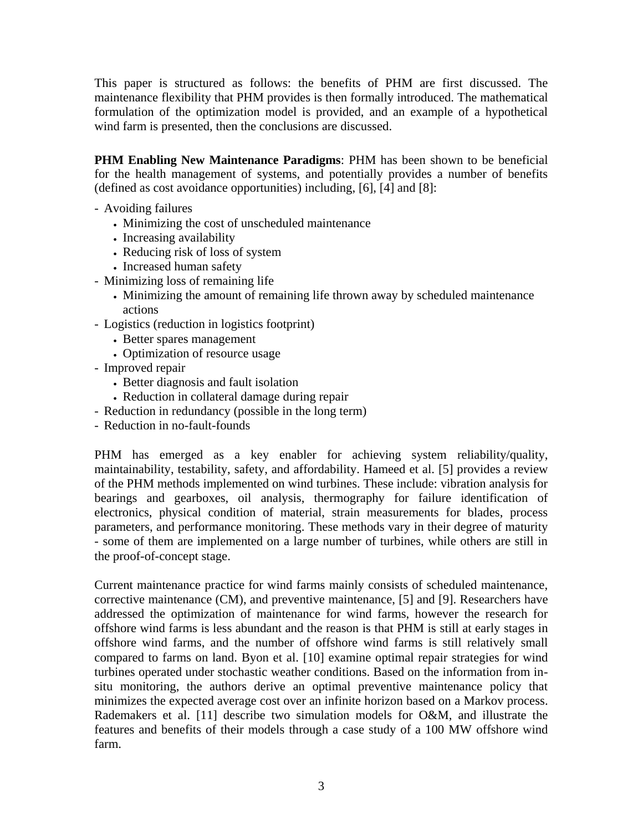This paper is structured as follows: the benefits of PHM are first discussed. The maintenance flexibility that PHM provides is then formally introduced. The mathematical formulation of the optimization model is provided, and an example of a hypothetical wind farm is presented, then the conclusions are discussed.

**PHM Enabling New Maintenance Paradigms**: PHM has been shown to be beneficial for the health management of systems, and potentially provides a number of benefits (defined as cost avoidance opportunities) including, [\[6\],](#page-8-5) [\[4\]](#page-8-3) and [\[8\]:](#page-8-7)

- Avoiding failures
	- Minimizing the cost of unscheduled maintenance
	- Increasing availability
	- Reducing risk of loss of system
	- Increased human safety
- Minimizing loss of remaining life
	- Minimizing the amount of remaining life thrown away by scheduled maintenance actions
- Logistics (reduction in logistics footprint)
	- Better spares management
	- Optimization of resource usage
- Improved repair
	- Better diagnosis and fault isolation
	- Reduction in collateral damage during repair
- Reduction in redundancy (possible in the long term)
- Reduction in no-fault-founds

PHM has emerged as a key enabler for achieving system reliability/quality, maintainability, testability, safety, and affordability. Hameed et al. [\[5\]](#page-8-4) provides a review of the PHM methods implemented on wind turbines. These include: vibration analysis for bearings and gearboxes, oil analysis, thermography for failure identification of electronics, physical condition of material, strain measurements for blades, process parameters, and performance monitoring. These methods vary in their degree of maturity - some of them are implemented on a large number of turbines, while others are still in the proof-of-concept stage.

Current maintenance practice for wind farms mainly consists of scheduled maintenance, corrective maintenance (CM), and preventive maintenance, [5] and [\[9\].](#page-8-8) Researchers have addressed the optimization of maintenance for wind farms, however the research for offshore wind farms is less abundant and the reason is that PHM is still at early stages in offshore wind farms, and the number of offshore wind farms is still relatively small compared to farms on land. Byon et al. [\[10\]](#page-8-9) examine optimal repair strategies for wind turbines operated under stochastic weather conditions. Based on the information from insitu monitoring, the authors derive an optimal preventive maintenance policy that minimizes the expected average cost over an infinite horizon based on a Markov process. Rademakers et al. [\[11\]](#page-9-0) describe two simulation models for O&M, and illustrate the features and benefits of their models through a case study of a 100 MW offshore wind farm.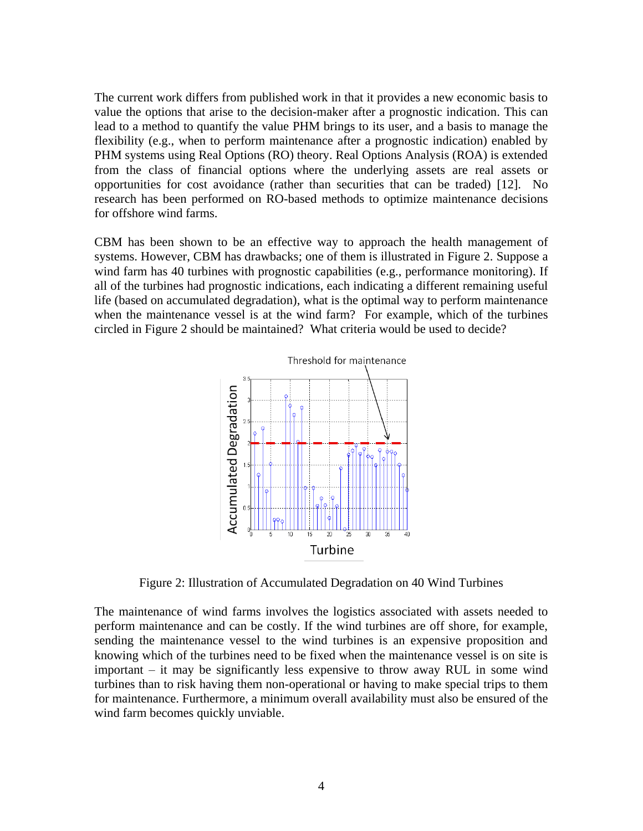The current work differs from published work in that it provides a new economic basis to value the options that arise to the decision-maker after a prognostic indication. This can lead to a method to quantify the value PHM brings to its user, and a basis to manage the flexibility (e.g., when to perform maintenance after a prognostic indication) enabled by PHM systems using Real Options (RO) theory. Real Options Analysis (ROA) is extended from the class of financial options where the underlying assets are real assets or opportunities for cost avoidance (rather than securities that can be traded) [\[12\].](#page-9-1) No research has been performed on RO-based methods to optimize maintenance decisions for offshore wind farms.

CBM has been shown to be an effective way to approach the health management of systems. However, CBM has drawbacks; one of them is illustrated in Figure 2. Suppose a wind farm has 40 turbines with prognostic capabilities (e.g., performance monitoring). If all of the turbines had prognostic indications, each indicating a different remaining useful life (based on accumulated degradation), what is the optimal way to perform maintenance when the maintenance vessel is at the wind farm? For example, which of the turbines circled in Figure 2 should be maintained? What criteria would be used to decide?



Figure 2: Illustration of Accumulated Degradation on 40 Wind Turbines

The maintenance of wind farms involves the logistics associated with assets needed to perform maintenance and can be costly. If the wind turbines are off shore, for example, sending the maintenance vessel to the wind turbines is an expensive proposition and knowing which of the turbines need to be fixed when the maintenance vessel is on site is important – it may be significantly less expensive to throw away RUL in some wind turbines than to risk having them non-operational or having to make special trips to them for maintenance. Furthermore, a minimum overall availability must also be ensured of the wind farm becomes quickly unviable.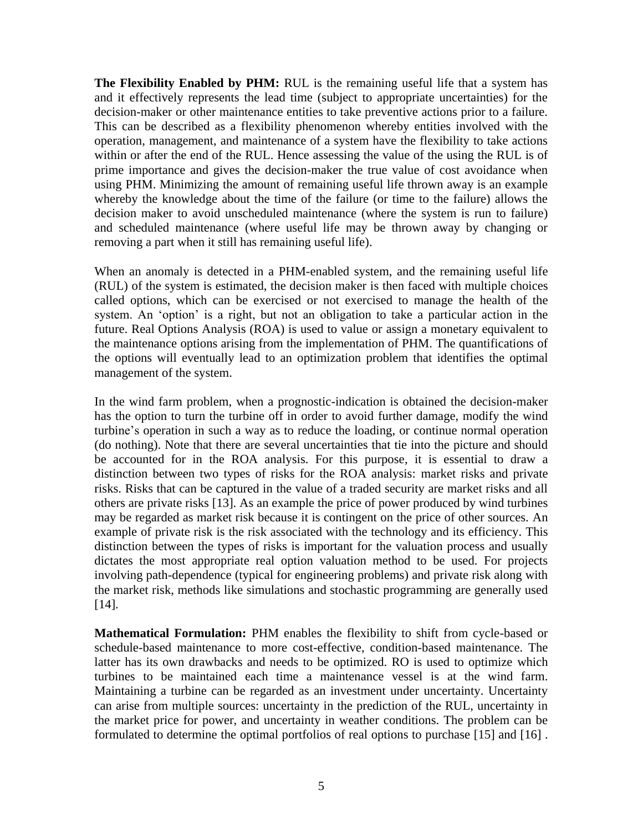**The Flexibility Enabled by PHM:** RUL is the remaining useful life that a system has and it effectively represents the lead time (subject to appropriate uncertainties) for the decision-maker or other maintenance entities to take preventive actions prior to a failure. This can be described as a flexibility phenomenon whereby entities involved with the operation, management, and maintenance of a system have the flexibility to take actions within or after the end of the RUL. Hence assessing the value of the using the RUL is of prime importance and gives the decision-maker the true value of cost avoidance when using PHM. Minimizing the amount of remaining useful life thrown away is an example whereby the knowledge about the time of the failure (or time to the failure) allows the decision maker to avoid unscheduled maintenance (where the system is run to failure) and scheduled maintenance (where useful life may be thrown away by changing or removing a part when it still has remaining useful life).

When an anomaly is detected in a PHM-enabled system, and the remaining useful life (RUL) of the system is estimated, the decision maker is then faced with multiple choices called options, which can be exercised or not exercised to manage the health of the system. An 'option' is a right, but not an obligation to take a particular action in the future. Real Options Analysis (ROA) is used to value or assign a monetary equivalent to the maintenance options arising from the implementation of PHM. The quantifications of the options will eventually lead to an optimization problem that identifies the optimal management of the system.

In the wind farm problem, when a prognostic-indication is obtained the decision-maker has the option to turn the turbine off in order to avoid further damage, modify the wind turbine's operation in such a way as to reduce the loading, or continue normal operation (do nothing). Note that there are several uncertainties that tie into the picture and should be accounted for in the ROA analysis. For this purpose, it is essential to draw a distinction between two types of risks for the ROA analysis: market risks and private risks. Risks that can be captured in the value of a traded security are market risks and all others are private risks [\[13\].](#page-9-2) As an example the price of power produced by wind turbines may be regarded as market risk because it is contingent on the price of other sources. An example of private risk is the risk associated with the technology and its efficiency. This distinction between the types of risks is important for the valuation process and usually dictates the most appropriate real option valuation method to be used. For projects involving path-dependence (typical for engineering problems) and private risk along with the market risk, methods like simulations and stochastic programming are generally used [\[14\].](#page-9-3)

**Mathematical Formulation:** PHM enables the flexibility to shift from cycle-based or schedule-based maintenance to more cost-effective, condition-based maintenance. The latter has its own drawbacks and needs to be optimized. RO is used to optimize which turbines to be maintained each time a maintenance vessel is at the wind farm. Maintaining a turbine can be regarded as an investment under uncertainty. Uncertainty can arise from multiple sources: uncertainty in the prediction of the RUL, uncertainty in the market price for power, and uncertainty in weather conditions. The problem can be formulated to determine the optimal portfolios of real options to purchase [\[15\]](#page-9-4) and [\[16\]](#page-9-5) .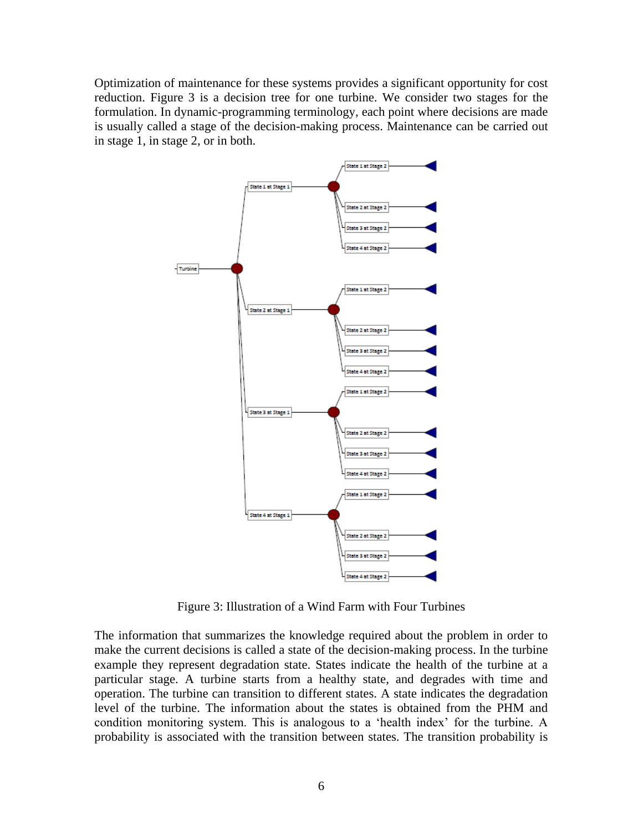Optimization of maintenance for these systems provides a significant opportunity for cost reduction. Figure 3 is a decision tree for one turbine. We consider two stages for the formulation. In dynamic-programming terminology, each point where decisions are made is usually called a stage of the decision-making process. Maintenance can be carried out in stage 1, in stage 2, or in both.



Figure 3: Illustration of a Wind Farm with Four Turbines

The information that summarizes the knowledge required about the problem in order to make the current decisions is called a state of the decision-making process. In the turbine example they represent degradation state. States indicate the health of the turbine at a particular stage. A turbine starts from a healthy state, and degrades with time and operation. The turbine can transition to different states. A state indicates the degradation level of the turbine. The information about the states is obtained from the PHM and condition monitoring system. This is analogous to a "health index" for the turbine. A probability is associated with the transition between states. The transition probability is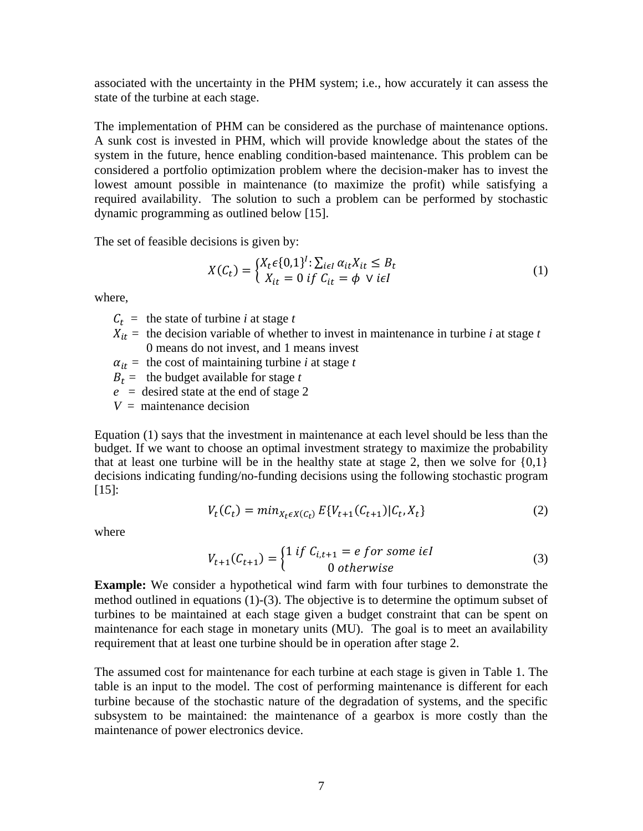associated with the uncertainty in the PHM system; i.e., how accurately it can assess the state of the turbine at each stage.

The implementation of PHM can be considered as the purchase of maintenance options. A sunk cost is invested in PHM, which will provide knowledge about the states of the system in the future, hence enabling condition-based maintenance. This problem can be considered a portfolio optimization problem where the decision-maker has to invest the lowest amount possible in maintenance (to maximize the profit) while satisfying a required availability. The solution to such a problem can be performed by stochastic dynamic programming as outlined below [\[15\].](#page-9-4)

The set of feasible decisions is given by:

$$
X(C_t) = \begin{cases} X_t \epsilon \{0, 1\}^l : \sum_{i \in I} \alpha_{it} X_{it} \le B_t \\ X_{it} = 0 \text{ if } C_{it} = \phi \ \lor i \epsilon I \end{cases}
$$
(1)

where,

 $C_t$  = the state of turbine *i* at stage *t* 

- $X_{it}$  = the decision variable of whether to invest in maintenance in turbine *i* at stage *t* 0 means do not invest, and 1 means invest
- $\alpha_{it}$  = the cost of maintaining turbine *i* at stage *t*

 $B_t$  = the budget available for stage *t* 

 $e$  = desired state at the end of stage 2

 $V =$  maintenance decision

Equation (1) says that the investment in maintenance at each level should be less than the budget. If we want to choose an optimal investment strategy to maximize the probability that at least one turbine will be in the healthy state at stage 2, then we solve for  $\{0,1\}$ decisions indicating funding/no-funding decisions using the following stochastic program [\[15\]:](#page-9-4)

$$
V_t(C_t) = min_{X_t \in X(C_t)} E\{V_{t+1}(C_{t+1}) | C_t, X_t\}
$$
\n(2)

where

$$
V_{t+1}(C_{t+1}) = \begin{cases} 1 \text{ if } C_{i,t+1} = e \text{ for some } i \in I \\ 0 \text{ otherwise} \end{cases}
$$
 (3)

**Example:** We consider a hypothetical wind farm with four turbines to demonstrate the method outlined in equations (1)-(3). The objective is to determine the optimum subset of turbines to be maintained at each stage given a budget constraint that can be spent on maintenance for each stage in monetary units (MU). The goal is to meet an availability requirement that at least one turbine should be in operation after stage 2.

The assumed cost for maintenance for each turbine at each stage is given in Table 1. The table is an input to the model. The cost of performing maintenance is different for each turbine because of the stochastic nature of the degradation of systems, and the specific subsystem to be maintained: the maintenance of a gearbox is more costly than the maintenance of power electronics device.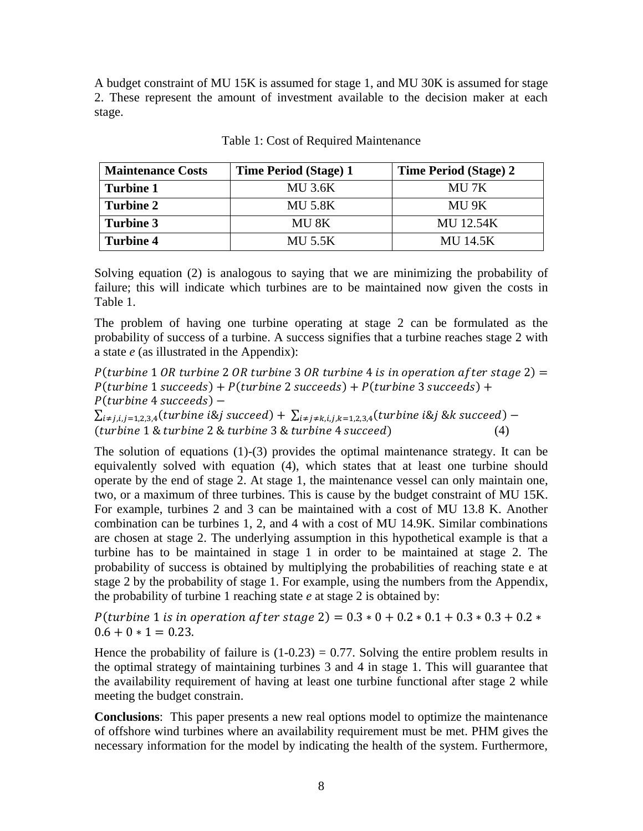A budget constraint of MU 15K is assumed for stage 1, and MU 30K is assumed for stage 2. These represent the amount of investment available to the decision maker at each stage.

| <b>Maintenance Costs</b> | <b>Time Period (Stage) 1</b> | <b>Time Period (Stage) 2</b> |
|--------------------------|------------------------------|------------------------------|
| <b>Turbine 1</b>         | <b>MU 3.6K</b>               | MU 7K                        |
| <b>Turbine 2</b>         | <b>MU 5.8K</b>               | MU 9K                        |
| Turbine 3                | MU 8K                        | <b>MU 12.54K</b>             |
| <b>Turbine 4</b>         | <b>MU 5.5K</b>               | <b>MU 14.5K</b>              |

Table 1: Cost of Required Maintenance

Solving equation (2) is analogous to saying that we are minimizing the probability of failure; this will indicate which turbines are to be maintained now given the costs in Table 1.

The problem of having one turbine operating at stage 2 can be formulated as the probability of success of a turbine. A success signifies that a turbine reaches stage 2 with a state *e* (as illustrated in the Appendix):

P(turbine 1 OR turbine 2 OR turbine 3 OR turbine 4 is in operation after stage 2) =  $P(turbine 1 succeeds) + P(turbine 2 succeeds) + P(turbine 3 succeeds) +$  $P(turbine 4 succeeds) -$ 

 $\sum_{i \neq j, i, j=1,2,3,4} (turbine i \& j succeed) + \sum_{i \neq j \neq k, i, j, k=1,2,3,4} (turbine i \& j \& k succeed) (turbine 1 & turbine 2 & turbine 3 & turbine 4 succeed)$  (4)

The solution of equations (1)-(3) provides the optimal maintenance strategy. It can be equivalently solved with equation (4), which states that at least one turbine should operate by the end of stage 2. At stage 1, the maintenance vessel can only maintain one, two, or a maximum of three turbines. This is cause by the budget constraint of MU 15K. For example, turbines 2 and 3 can be maintained with a cost of MU 13.8 K. Another combination can be turbines 1, 2, and 4 with a cost of MU 14.9K. Similar combinations are chosen at stage 2. The underlying assumption in this hypothetical example is that a turbine has to be maintained in stage 1 in order to be maintained at stage 2. The probability of success is obtained by multiplying the probabilities of reaching state e at stage 2 by the probability of stage 1. For example, using the numbers from the Appendix, the probability of turbine 1 reaching state *e* at stage 2 is obtained by:

P(turbine 1 is in operation after stage 2) =  $0.3 * 0 + 0.2 * 0.1 + 0.3 * 0.3 + 0.2 *$  $0.6 + 0 \times 1 = 0.23$ .

Hence the probability of failure is  $(1-0.23) = 0.77$ . Solving the entire problem results in the optimal strategy of maintaining turbines 3 and 4 in stage 1. This will guarantee that the availability requirement of having at least one turbine functional after stage 2 while meeting the budget constrain.

**Conclusions**: This paper presents a new real options model to optimize the maintenance of offshore wind turbines where an availability requirement must be met. PHM gives the necessary information for the model by indicating the health of the system. Furthermore,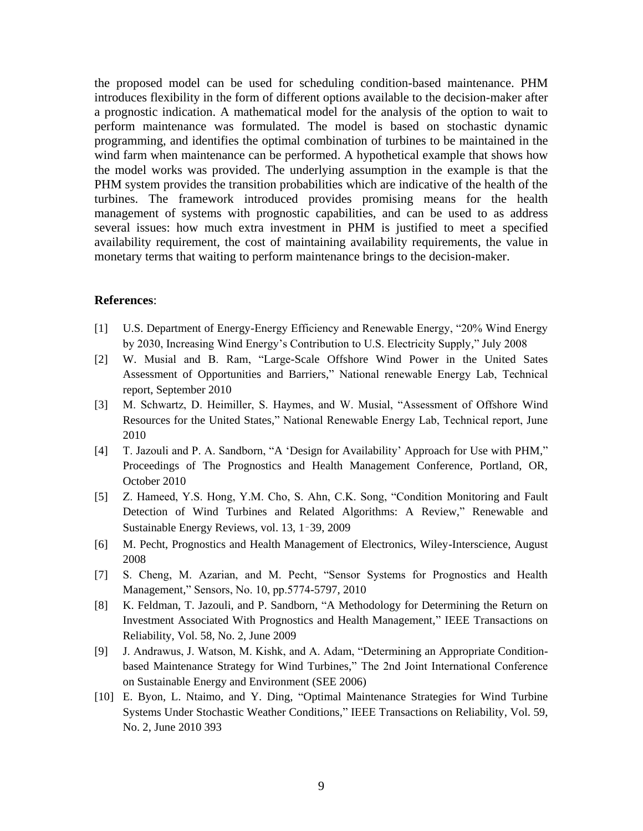the proposed model can be used for scheduling condition-based maintenance. PHM introduces flexibility in the form of different options available to the decision-maker after a prognostic indication. A mathematical model for the analysis of the option to wait to perform maintenance was formulated. The model is based on stochastic dynamic programming, and identifies the optimal combination of turbines to be maintained in the wind farm when maintenance can be performed. A hypothetical example that shows how the model works was provided. The underlying assumption in the example is that the PHM system provides the transition probabilities which are indicative of the health of the turbines. The framework introduced provides promising means for the health management of systems with prognostic capabilities, and can be used to as address several issues: how much extra investment in PHM is justified to meet a specified availability requirement, the cost of maintaining availability requirements, the value in monetary terms that waiting to perform maintenance brings to the decision-maker.

## **References**:

- <span id="page-8-0"></span>[1] U.S. Department of Energy-Energy Efficiency and Renewable Energy, "20% Wind Energy by 2030, Increasing Wind Energy"s Contribution to U.S. Electricity Supply," July 2008
- <span id="page-8-1"></span>[2] W. Musial and B. Ram, "Large-Scale Offshore Wind Power in the United Sates Assessment of Opportunities and Barriers," National renewable Energy Lab, Technical report, September 2010
- <span id="page-8-2"></span>[3] M. Schwartz, D. Heimiller, S. Haymes, and W. Musial, "Assessment of Offshore Wind Resources for the United States," National Renewable Energy Lab, Technical report, June 2010
- <span id="page-8-3"></span>[4] T. Jazouli and P. A. Sandborn, "A 'Design for Availability' [Approach for Use with PHM,](http://www.phmsociety.org/node/360)" Proceedings of The Prognostics and Health Management Conference, Portland, OR, October 2010
- <span id="page-8-4"></span>[5] Z. Hameed, Y.S. Hong, Y.M. Cho, S. Ahn, C.K. Song, "Condition Monitoring and Fault Detection of Wind Turbines and Related Algorithms: A Review," Renewable and Sustainable Energy Reviews, vol. 13, 1–39, 2009
- <span id="page-8-5"></span>[6] M. Pecht, Prognostics and Health Management of Electronics, Wiley-Interscience, August 2008
- <span id="page-8-6"></span>[7] S. Cheng, M. Azarian, and M. Pecht, "Sensor Systems for Prognostics and Health Management," Sensors, No. 10, pp.5774-5797, 2010
- <span id="page-8-7"></span>[8] K. Feldman, T. Jazouli, and P. Sandborn, "A Methodology for Determining the Return on Investment Associated With Prognostics and Health Management," IEEE Transactions on Reliability, Vol. 58, No. 2, June 2009
- <span id="page-8-8"></span>[9] J. Andrawus, J. Watson, M. Kishk, and A. Adam, "Determining an Appropriate Conditionbased Maintenance Strategy for Wind Turbines," The 2nd Joint International Conference on Sustainable Energy and Environment (SEE 2006)
- <span id="page-8-9"></span>[10] E. Byon, L. Ntaimo, and Y. Ding, "Optimal Maintenance Strategies for Wind Turbine Systems Under Stochastic Weather Conditions," IEEE Transactions on Reliability, Vol. 59, No. 2, June 2010 393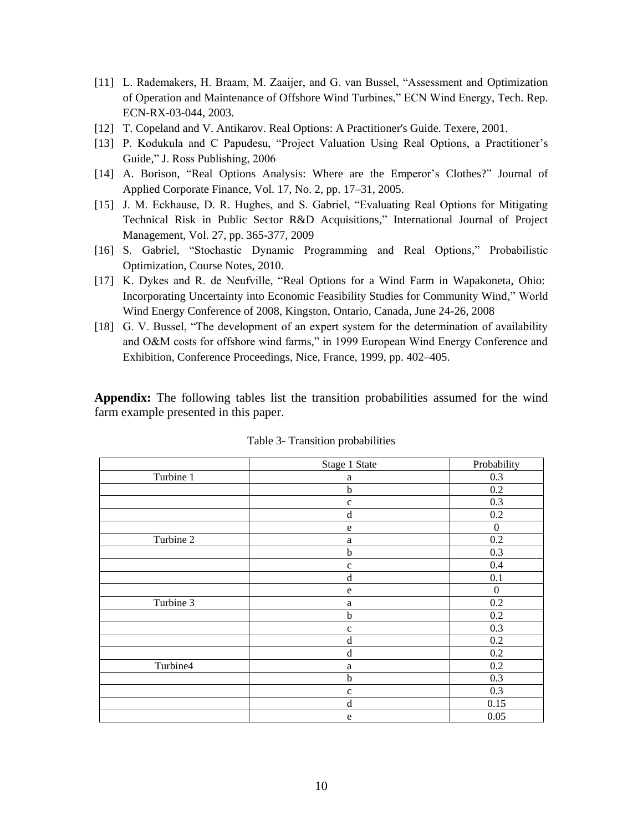- <span id="page-9-0"></span>[11] L. Rademakers, H. Braam, M. Zaaijer, and G. van Bussel, "Assessment and Optimization of Operation and Maintenance of Offshore Wind Turbines," ECN Wind Energy, Tech. Rep. ECN-RX-03-044, 2003.
- <span id="page-9-1"></span>[12] T. Copeland and V. Antikarov. Real Options: A Practitioner's Guide. Texere, 2001.
- <span id="page-9-2"></span>[13] P. Kodukula and C Papudesu, "Project Valuation Using Real Options, a Practitioner's Guide," J. Ross Publishing, 2006
- <span id="page-9-3"></span>[14] A. Borison, "Real Options Analysis: Where are the Emperor's Clothes?" Journal of Applied Corporate Finance, Vol. 17, No. 2, pp. 17–31, 2005.
- <span id="page-9-4"></span>[15] J. M. Eckhause, D. R. Hughes, and S. Gabriel, "Evaluating Real Options for Mitigating Technical Risk in Public Sector R&D Acquisitions," International Journal of Project Management, Vol. 27, pp. 365-377, 2009
- <span id="page-9-5"></span>[16] S. Gabriel, "Stochastic Dynamic Programming and Real Options," Probabilistic Optimization, Course Notes, 2010.
- [17] K. Dykes and R. de Neufville, ["Real Options for a Wind Farm in Wapakoneta, Ohio:](http://ardent.mit.edu/real_options/Real_opts_papers/Dykes_%20WWEC%202008_Final_Oct08.pdf) [Incorporating Uncertainty into Economic Feasibility Studies for Community Wind,](http://ardent.mit.edu/real_options/Real_opts_papers/Dykes_%20WWEC%202008_Final_Oct08.pdf)" World Wind Energy Conference of 2008, Kingston, Ontario, Canada, June 24-26, 2008
- [18] G. V. Bussel, "The development of an expert system for the determination of availability and O&M costs for offshore wind farms," in 1999 European Wind Energy Conference and Exhibition, Conference Proceedings, Nice, France, 1999, pp. 402–405.

**Appendix:** The following tables list the transition probabilities assumed for the wind farm example presented in this paper.

|           | Stage 1 State | Probability      |
|-----------|---------------|------------------|
| Turbine 1 | $\rm{a}$      | 0.3              |
|           | $\mathbf b$   | 0.2              |
|           | $\mathbf c$   | 0.3              |
|           | $\mathbf d$   | 0.2              |
|           | $\mathbf e$   | $\boldsymbol{0}$ |
| Turbine 2 | $\rm{a}$      | 0.2              |
|           | $\mathbf b$   | 0.3              |
|           | $\mathbf c$   | 0.4              |
|           | $\rm d$       | 0.1              |
|           | ${\bf e}$     | $\mathbf{0}$     |
| Turbine 3 | a             | 0.2              |
|           | $\mathbf b$   | 0.2              |
|           | $\mathbf c$   | 0.3              |
|           | $\rm d$       | 0.2              |
|           | ${\rm d}$     | 0.2              |
| Turbine4  | a             | 0.2              |
|           | $\mathbf b$   | 0.3              |
|           | $\mathbf c$   | 0.3              |
|           | ${\rm d}$     | 0.15             |
|           | ${\bf e}$     | 0.05             |

Table 3- Transition probabilities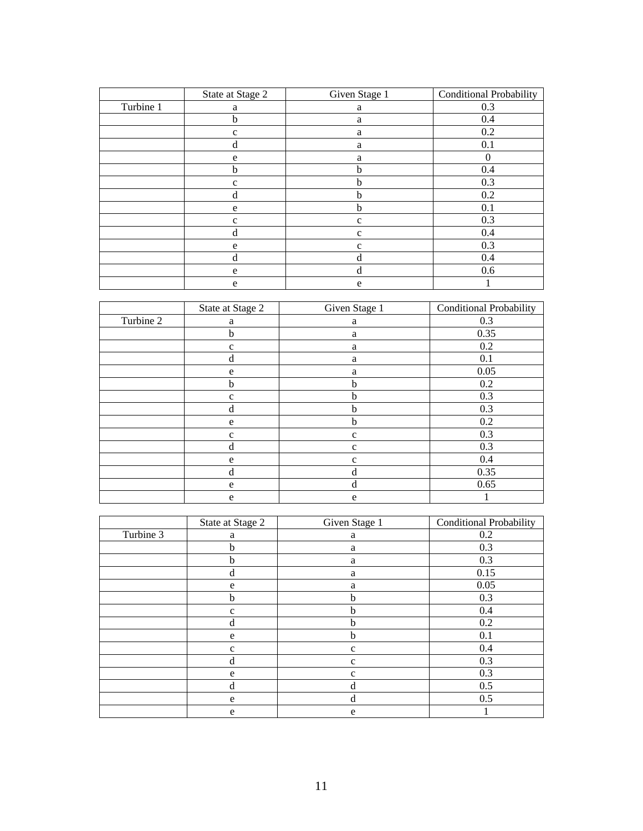|           | State at Stage 2 | Given Stage 1 | <b>Conditional Probability</b> |
|-----------|------------------|---------------|--------------------------------|
| Turbine 1 | a                | a             | 0.3                            |
|           | b                | a             | 0.4                            |
|           | $\mathbf{C}$     | a             | 0.2                            |
|           | d                | a             | 0.1                            |
|           | e                | a             | 0                              |
|           | b                | h             | 0.4                            |
|           | $\mathbf c$      | b             | 0.3                            |
|           | d                | b             | 0.2                            |
|           | e                | b             | 0.1                            |
|           | c                | $\mathbf{C}$  | 0.3                            |
|           | d                | $\mathbf c$   | 0.4                            |
|           | e                | $\mathbf{C}$  | 0.3                            |
|           | d                | d             | 0.4                            |
|           | e                | d             | 0.6                            |
|           | e                | e             |                                |

|           | State at Stage 2 | Given Stage 1 | <b>Conditional Probability</b> |
|-----------|------------------|---------------|--------------------------------|
| Turbine 2 | a                | a             | 0.3                            |
|           | b                | a             | 0.35                           |
|           | $\mathbf c$      | a             | 0.2                            |
|           | $\mathbf d$      | a             | 0.1                            |
|           | e                | a             | 0.05                           |
|           | b                | $\mathbf{h}$  | 0.2                            |
|           | $\mathbf c$      | b             | 0.3                            |
|           | d                | b             | 0.3                            |
|           | e                | b             | 0.2                            |
|           | $\mathbf c$      | $\mathbf c$   | 0.3                            |
|           | $\mathbf d$      | $\mathbf{C}$  | 0.3                            |
|           | e                | $\mathbf{C}$  | 0.4                            |
|           | d                | d             | 0.35                           |
|           | e                | d             | 0.65                           |
|           | e                | e             |                                |

|           | State at Stage 2 | Given Stage 1 | <b>Conditional Probability</b> |
|-----------|------------------|---------------|--------------------------------|
| Turbine 3 | a                | a             | 0.2                            |
|           | b                | a             | 0.3                            |
|           | b                | a             | 0.3                            |
|           | d                | a             | 0.15                           |
|           | e                | a             | 0.05                           |
|           | $\mathbf b$      | b             | 0.3                            |
|           | $\mathbf c$      | $\mathbf b$   | 0.4                            |
|           | d                | b             | 0.2                            |
|           | e                | b             | 0.1                            |
|           | $\mathbf{C}$     | $\mathbf{C}$  | 0.4                            |
|           | d                | $\mathbf{C}$  | 0.3                            |
|           | e                | $\mathbf{C}$  | 0.3                            |
|           | d                | d             | 0.5                            |
|           | e                | d             | 0.5                            |
|           | e                | e             |                                |